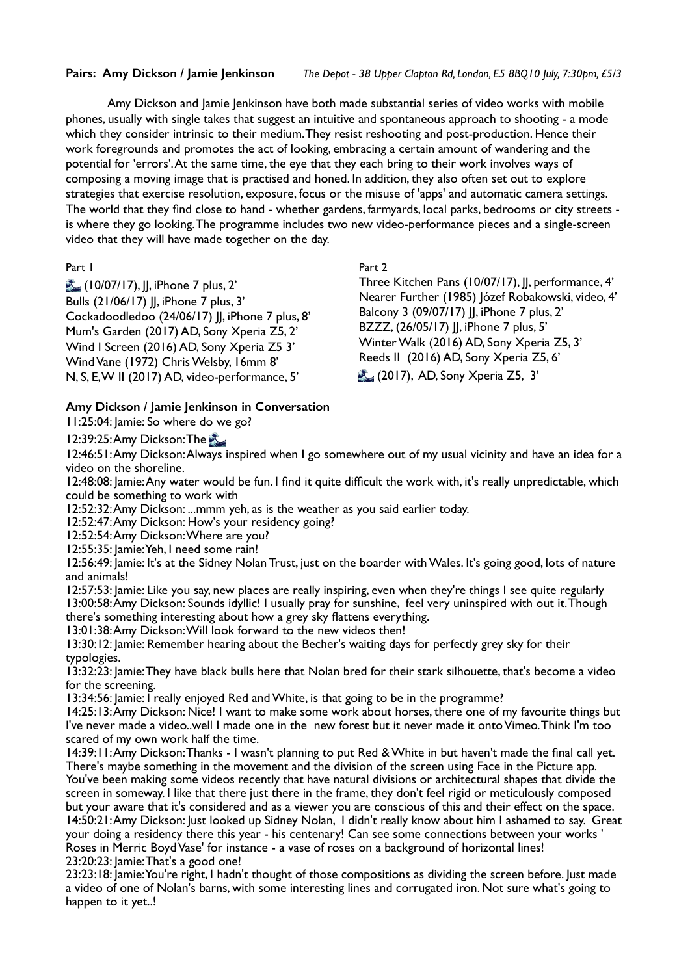Amy Dickson and Jamie Jenkinson have both made substantial series of video works with mobile phones, usually with single takes that suggest an intuitive and spontaneous approach to shooting - a mode which they consider intrinsic to their medium. They resist reshooting and post-production. Hence their work foregrounds and promotes the act of looking, embracing a certain amount of wandering and the potential for 'errors'. At the same time, the eye that they each bring to their work involves ways of composing a moving image that is practised and honed. In addition, they also often set out to explore strategies that exercise resolution, exposure, focus or the misuse of 'apps' and automatic camera settings. The world that they find close to hand - whether gardens, farmyards, local parks, bedrooms or city streets is where they go looking. The programme includes two new video-performance pieces and a single-screen video that they will have made together on the day.

## Part 1

 (10/07/17), JJ, iPhone 7 plus, 2' Bulls (21/06/17) II, iPhone 7 plus, 3' Cockadoodledoo (24/06/17) JJ, iPhone 7 plus, 8' Mum's Garden (2017) AD, Sony Xperia Z5, 2' Wind I Screen (2016) AD, Sony Xperia Z5 3' Wind Vane (1972) Chris Welsby, 16mm 8' N, S, E, W II (2017) AD, video-performance, 5'

## Part 2

Three Kitchen Pans (10/07/17), JJ, performance, 4' Nearer Further (1985) Józef Robakowski, video, 4' Balcony 3 (09/07/17) II, iPhone 7 plus, 2' BZZZ, (26/05/17) ||, iPhone 7 plus, 5' Winter Walk (2016) AD, Sony Xperia Z5, 3' Reeds II (2016) AD, Sony Xperia Z5, 6' **(2017), AD, Sony Xperia Z5, 3'** 

## **Amy Dickson / Jamie Jenkinson in Conversation**

11:25:04: Jamie: So where do we go?

12:39:25: Amy Dickson: The

12:46:51: Amy Dickson: Always inspired when I go somewhere out of my usual vicinity and have an idea for a video on the shoreline.

12:48:08: Jamie: Any water would be fun. I find it quite difficult the work with, it's really unpredictable, which could be something to work with

12:52:32: Amy Dickson: ...mmm yeh, as is the weather as you said earlier today.

12:52:47: Amy Dickson: How's your residency going?

12:52:54: Amy Dickson: Where are you?

12:55:35: Jamie: Yeh, I need some rain!

12:56:49: Jamie: It's at the Sidney Nolan Trust, just on the boarder with Wales. It's going good, lots of nature and animals!

12:57:53: Jamie: Like you say, new places are really inspiring, even when they're things I see quite regularly 13:00:58: Amy Dickson: Sounds idyllic! I usually pray for sunshine, feel very uninspired with out it. Though there's something interesting about how a grey sky flattens everything.

13:01:38: Amy Dickson: Will look forward to the new videos then!

13:30:12: Jamie: Remember hearing about the Becher's waiting days for perfectly grey sky for their typologies.

13:32:23: Jamie: They have black bulls here that Nolan bred for their stark silhouette, that's become a video for the screening.

13:34:56: Jamie: I really enjoyed Red and White, is that going to be in the programme?

14:25:13: Amy Dickson: Nice! I want to make some work about horses, there one of my favourite things but I've never made a video..well I made one in the new forest but it never made it onto Vimeo. Think I'm too scared of my own work half the time.

14:39:11: Amy Dickson: Thanks - I wasn't planning to put Red & White in but haven't made the final call yet. There's maybe something in the movement and the division of the screen using Face in the Picture app. You've been making some videos recently that have natural divisions or architectural shapes that divide the screen in someway. I like that there just there in the frame, they don't feel rigid or meticulously composed but your aware that it's considered and as a viewer you are conscious of this and their effect on the space. 14:50:21: Amy Dickson: Just looked up Sidney Nolan, I didn't really know about him I ashamed to say. Great your doing a residency there this year - his centenary! Can see some connections between your works ' Roses in Merric Boyd Vase' for instance - a vase of roses on a background of horizontal lines! 23:20:23: Jamie: That's a good one!

23:23:18: Jamie: You're right, I hadn't thought of those compositions as dividing the screen before. Just made a video of one of Nolan's barns, with some interesting lines and corrugated iron. Not sure what's going to happen to it yet..!